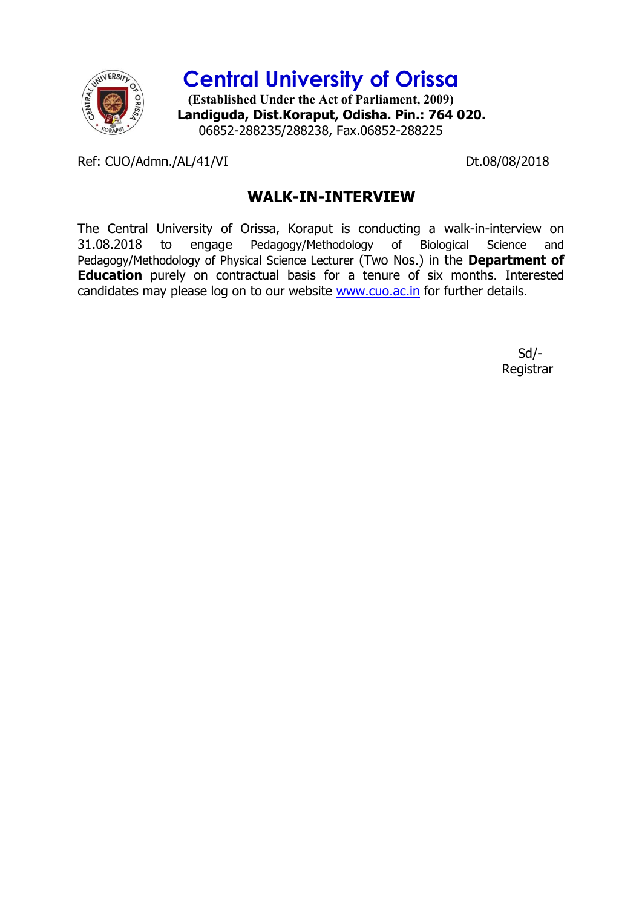

# **Central University of Orissa**

**(Established Under the Act of Parliament, 2009) Landiguda, Dist.Koraput, Odisha. Pin.: 764 020.** 06852-288235/288238, Fax.06852-288225

Ref: CUO/Admn./AL/41/VI Dt.08/08/2018

### **WALK-IN-INTERVIEW**

The Central University of Orissa, Koraput is conducting a walk-in-interview on 31.08.2018 to engage Pedagogy/Methodology of Biological Science and Pedagogy/Methodology of Physical Science Lecturer (Two Nos.) in the **Department of Education** purely on contractual basis for a tenure of six months. Interested candidates may please log on to our website www.cuo.ac.in for further details.

> Sd/- Registrar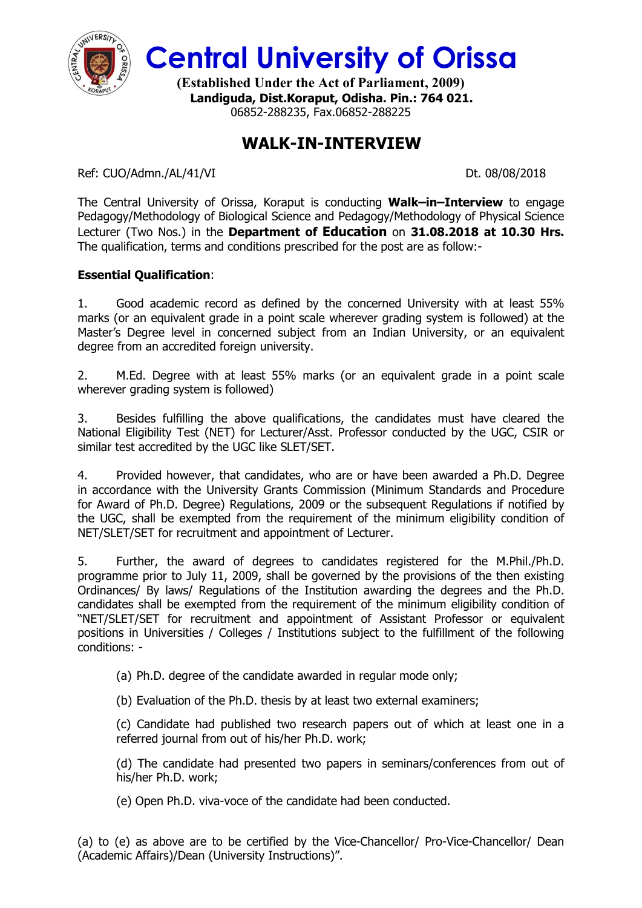

**Central University of Orissa**

**(Established Under the Act of Parliament, 2009) Landiguda, Dist.Koraput, Odisha. Pin.: 764 021.** 06852-288235, Fax.06852-288225

## **WALK-IN-INTERVIEW**

Ref: CUO/Admn./AL/41/VI Dt. 08/08/2018

The Central University of Orissa, Koraput is conducting **Walk–in–Interview** to engage Pedagogy/Methodology of Biological Science and Pedagogy/Methodology of Physical Science Lecturer (Two Nos.) in the **Department of Education** on **31.08.2018 at 10.30 Hrs.** The qualification, terms and conditions prescribed for the post are as follow:-

#### **Essential Qualification**:

1. Good academic record as defined by the concerned University with at least 55% marks (or an equivalent grade in a point scale wherever grading system is followed) at the Master's Degree level in concerned subject from an Indian University, or an equivalent degree from an accredited foreign university.

2. M.Ed. Degree with at least 55% marks (or an equivalent grade in a point scale wherever grading system is followed)

3. Besides fulfilling the above qualifications, the candidates must have cleared the National Eligibility Test (NET) for Lecturer/Asst. Professor conducted by the UGC, CSIR or similar test accredited by the UGC like SLET/SET.

4. Provided however, that candidates, who are or have been awarded a Ph.D. Degree in accordance with the University Grants Commission (Minimum Standards and Procedure for Award of Ph.D. Degree) Regulations, 2009 or the subsequent Regulations if notified by the UGC, shall be exempted from the requirement of the minimum eligibility condition of NET/SLET/SET for recruitment and appointment of Lecturer.

5. Further, the award of degrees to candidates registered for the M.Phil./Ph.D. programme prior to July 11, 2009, shall be governed by the provisions of the then existing Ordinances/ By laws/ Regulations of the Institution awarding the degrees and the Ph.D. candidates shall be exempted from the requirement of the minimum eligibility condition of "NET/SLET/SET for recruitment and appointment of Assistant Professor or equivalent positions in Universities / Colleges / Institutions subject to the fulfillment of the following conditions: -

- (a) Ph.D. degree of the candidate awarded in regular mode only;
- (b) Evaluation of the Ph.D. thesis by at least two external examiners;

(c) Candidate had published two research papers out of which at least one in a referred journal from out of his/her Ph.D. work;

(d) The candidate had presented two papers in seminars/conferences from out of his/her Ph.D. work;

(e) Open Ph.D. viva-voce of the candidate had been conducted.

(a) to (e) as above are to be certified by the Vice-Chancellor/ Pro-Vice-Chancellor/ Dean (Academic Affairs)/Dean (University Instructions)".